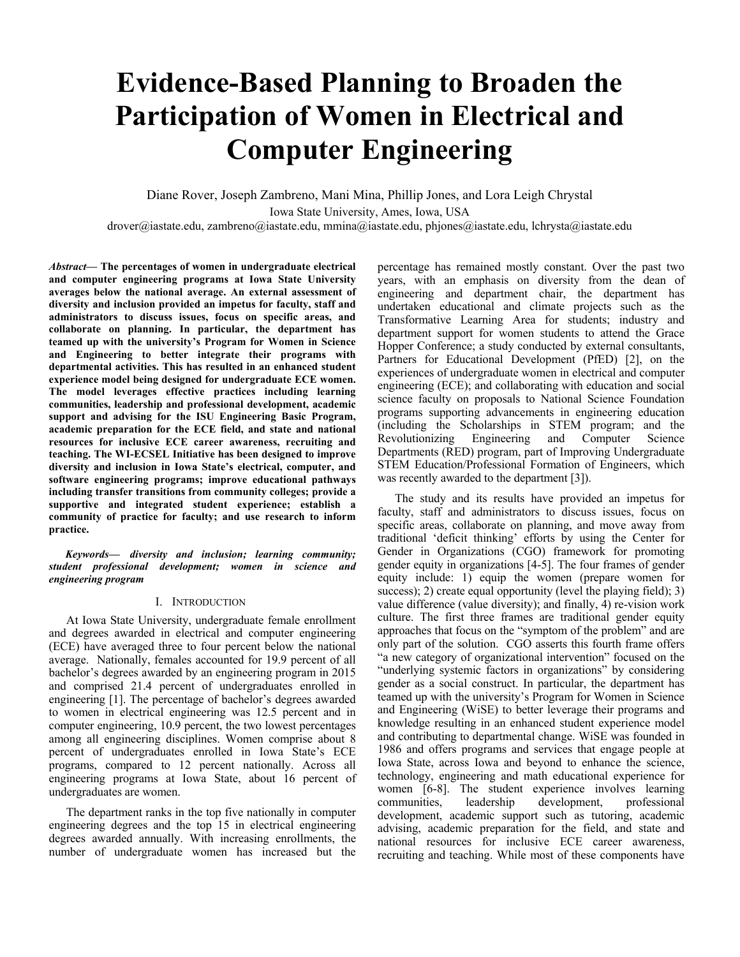# **Evidence-Based Planning to Broaden the Participation of Women in Electrical and Computer Engineering**

Diane Rover, Joseph Zambreno, Mani Mina, Phillip Jones, and Lora Leigh Chrystal Iowa State University, Ames, Iowa, USA drover@iastate.edu, zambreno@iastate.edu, mmina@iastate.edu, phjones@iastate.edu, lchrysta@iastate.edu

*Abstract***— The percentages of women in undergraduate electrical and computer engineering programs at Iowa State University averages below the national average. An external assessment of diversity and inclusion provided an impetus for faculty, staff and administrators to discuss issues, focus on specific areas, and collaborate on planning. In particular, the department has teamed up with the university's Program for Women in Science and Engineering to better integrate their programs with departmental activities. This has resulted in an enhanced student experience model being designed for undergraduate ECE women. The model leverages effective practices including learning communities, leadership and professional development, academic support and advising for the ISU Engineering Basic Program, academic preparation for the ECE field, and state and national resources for inclusive ECE career awareness, recruiting and teaching. The WI-ECSEL Initiative has been designed to improve diversity and inclusion in Iowa State's electrical, computer, and software engineering programs; improve educational pathways including transfer transitions from community colleges; provide a supportive and integrated student experience; establish a community of practice for faculty; and use research to inform practice.**

*Keywords— diversity and inclusion; learning community; student professional development; women in science and engineering program* 

## I. INTRODUCTION

At Iowa State University, undergraduate female enrollment and degrees awarded in electrical and computer engineering (ECE) have averaged three to four percent below the national average. Nationally, females accounted for 19.9 percent of all bachelor's degrees awarded by an engineering program in 2015 and comprised 21.4 percent of undergraduates enrolled in engineering [1]. The percentage of bachelor's degrees awarded to women in electrical engineering was 12.5 percent and in computer engineering, 10.9 percent, the two lowest percentages among all engineering disciplines. Women comprise about 8 percent of undergraduates enrolled in Iowa State's ECE programs, compared to 12 percent nationally. Across all engineering programs at Iowa State, about 16 percent of undergraduates are women.

The department ranks in the top five nationally in computer engineering degrees and the top 15 in electrical engineering degrees awarded annually. With increasing enrollments, the number of undergraduate women has increased but the percentage has remained mostly constant. Over the past two years, with an emphasis on diversity from the dean of engineering and department chair, the department has undertaken educational and climate projects such as the Transformative Learning Area for students; industry and department support for women students to attend the Grace Hopper Conference; a study conducted by external consultants, Partners for Educational Development (PfED) [2], on the experiences of undergraduate women in electrical and computer engineering (ECE); and collaborating with education and social science faculty on proposals to National Science Foundation programs supporting advancements in engineering education (including the Scholarships in STEM program; and the Revolutionizing Engineering and Computer Science Departments (RED) program, part of Improving Undergraduate STEM Education/Professional Formation of Engineers, which was recently awarded to the department [3]).

The study and its results have provided an impetus for faculty, staff and administrators to discuss issues, focus on specific areas, collaborate on planning, and move away from traditional 'deficit thinking' efforts by using the Center for Gender in Organizations (CGO) framework for promoting gender equity in organizations [4-5]. The four frames of gender equity include: 1) equip the women (prepare women for success); 2) create equal opportunity (level the playing field); 3) value difference (value diversity); and finally, 4) re-vision work culture. The first three frames are traditional gender equity approaches that focus on the "symptom of the problem" and are only part of the solution. CGO asserts this fourth frame offers "a new category of organizational intervention" focused on the "underlying systemic factors in organizations" by considering gender as a social construct. In particular, the department has teamed up with the university's Program for Women in Science and Engineering (WiSE) to better leverage their programs and knowledge resulting in an enhanced student experience model and contributing to departmental change. WiSE was founded in 1986 and offers programs and services that engage people at Iowa State, across Iowa and beyond to enhance the science, technology, engineering and math educational experience for women [6-8]. The student experience involves learning communities, leadership development, professional development, academic support such as tutoring, academic advising, academic preparation for the field, and state and national resources for inclusive ECE career awareness, recruiting and teaching. While most of these components have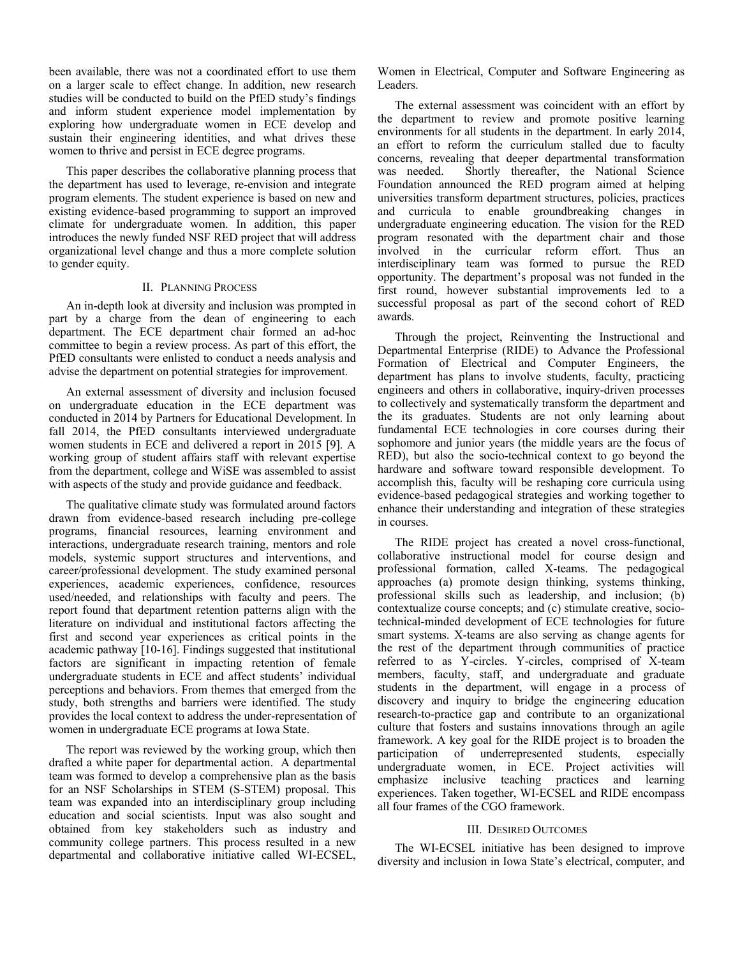been available, there was not a coordinated effort to use them on a larger scale to effect change. In addition, new research studies will be conducted to build on the PfED study's findings and inform student experience model implementation by exploring how undergraduate women in ECE develop and sustain their engineering identities, and what drives these women to thrive and persist in ECE degree programs.

This paper describes the collaborative planning process that the department has used to leverage, re-envision and integrate program elements. The student experience is based on new and existing evidence-based programming to support an improved climate for undergraduate women. In addition, this paper introduces the newly funded NSF RED project that will address organizational level change and thus a more complete solution to gender equity.

## II. PLANNING PROCESS

An in-depth look at diversity and inclusion was prompted in part by a charge from the dean of engineering to each department. The ECE department chair formed an ad-hoc committee to begin a review process. As part of this effort, the PfED consultants were enlisted to conduct a needs analysis and advise the department on potential strategies for improvement.

An external assessment of diversity and inclusion focused on undergraduate education in the ECE department was conducted in 2014 by Partners for Educational Development. In fall 2014, the PfED consultants interviewed undergraduate women students in ECE and delivered a report in 2015 [9]. A working group of student affairs staff with relevant expertise from the department, college and WiSE was assembled to assist with aspects of the study and provide guidance and feedback.

The qualitative climate study was formulated around factors drawn from evidence-based research including pre-college programs, financial resources, learning environment and interactions, undergraduate research training, mentors and role models, systemic support structures and interventions, and career/professional development. The study examined personal experiences, academic experiences, confidence, resources used/needed, and relationships with faculty and peers. The report found that department retention patterns align with the literature on individual and institutional factors affecting the first and second year experiences as critical points in the academic pathway [10-16]. Findings suggested that institutional factors are significant in impacting retention of female undergraduate students in ECE and affect students' individual perceptions and behaviors. From themes that emerged from the study, both strengths and barriers were identified. The study provides the local context to address the under-representation of women in undergraduate ECE programs at Iowa State.

The report was reviewed by the working group, which then drafted a white paper for departmental action. A departmental team was formed to develop a comprehensive plan as the basis for an NSF Scholarships in STEM (S-STEM) proposal. This team was expanded into an interdisciplinary group including education and social scientists. Input was also sought and obtained from key stakeholders such as industry and community college partners. This process resulted in a new departmental and collaborative initiative called WI-ECSEL,

Women in Electrical, Computer and Software Engineering as Leaders.

The external assessment was coincident with an effort by the department to review and promote positive learning environments for all students in the department. In early 2014, an effort to reform the curriculum stalled due to faculty concerns, revealing that deeper departmental transformation was needed. Shortly thereafter, the National Science Foundation announced the RED program aimed at helping universities transform department structures, policies, practices and curricula to enable groundbreaking changes in undergraduate engineering education. The vision for the RED program resonated with the department chair and those involved in the curricular reform effort. Thus an interdisciplinary team was formed to pursue the RED opportunity. The department's proposal was not funded in the first round, however substantial improvements led to a successful proposal as part of the second cohort of RED awards.

Through the project, Reinventing the Instructional and Departmental Enterprise (RIDE) to Advance the Professional Formation of Electrical and Computer Engineers, the department has plans to involve students, faculty, practicing engineers and others in collaborative, inquiry-driven processes to collectively and systematically transform the department and the its graduates. Students are not only learning about fundamental ECE technologies in core courses during their sophomore and junior years (the middle years are the focus of RED), but also the socio-technical context to go beyond the hardware and software toward responsible development. To accomplish this, faculty will be reshaping core curricula using evidence-based pedagogical strategies and working together to enhance their understanding and integration of these strategies in courses.

The RIDE project has created a novel cross-functional, collaborative instructional model for course design and professional formation, called X-teams. The pedagogical approaches (a) promote design thinking, systems thinking, professional skills such as leadership, and inclusion; (b) contextualize course concepts; and (c) stimulate creative, sociotechnical-minded development of ECE technologies for future smart systems. X-teams are also serving as change agents for the rest of the department through communities of practice referred to as Y-circles. Y-circles, comprised of X-team members, faculty, staff, and undergraduate and graduate students in the department, will engage in a process of discovery and inquiry to bridge the engineering education research-to-practice gap and contribute to an organizational culture that fosters and sustains innovations through an agile framework. A key goal for the RIDE project is to broaden the participation of underrepresented students, especially undergraduate women, in ECE. Project activities will emphasize inclusive teaching practices and learning experiences. Taken together, WI-ECSEL and RIDE encompass all four frames of the CGO framework.

## III. DESIRED OUTCOMES

The WI-ECSEL initiative has been designed to improve diversity and inclusion in Iowa State's electrical, computer, and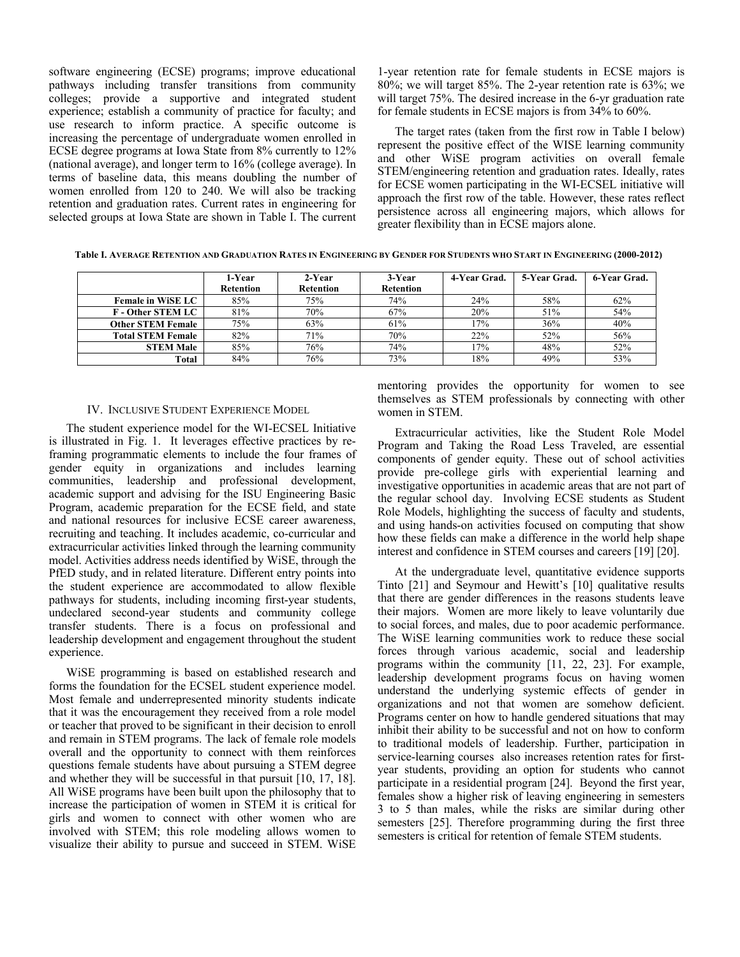software engineering (ECSE) programs; improve educational pathways including transfer transitions from community colleges; provide a supportive and integrated student experience; establish a community of practice for faculty; and use research to inform practice. A specific outcome is increasing the percentage of undergraduate women enrolled in ECSE degree programs at Iowa State from 8% currently to 12% (national average), and longer term to 16% (college average). In terms of baseline data, this means doubling the number of women enrolled from 120 to 240. We will also be tracking retention and graduation rates. Current rates in engineering for selected groups at Iowa State are shown in Table I. The current

1-year retention rate for female students in ECSE majors is 80%; we will target 85%. The 2-year retention rate is 63%; we will target 75%. The desired increase in the 6-yr graduation rate for female students in ECSE majors is from 34% to 60%.

The target rates (taken from the first row in Table I below) represent the positive effect of the WISE learning community and other WiSE program activities on overall female STEM/engineering retention and graduation rates. Ideally, rates for ECSE women participating in the WI-ECSEL initiative will approach the first row of the table. However, these rates reflect persistence across all engineering majors, which allows for greater flexibility than in ECSE majors alone.

**Table I. AVERAGE RETENTION AND GRADUATION RATES IN ENGINEERING BY GENDER FOR STUDENTS WHO START IN ENGINEERING (2000-2012)** 

|                          | 1-Year           | 2-Year           | 3-Year           | 4-Year Grad. | 5-Year Grad. | 6-Year Grad. |
|--------------------------|------------------|------------------|------------------|--------------|--------------|--------------|
|                          | <b>Retention</b> | <b>Retention</b> | <b>Retention</b> |              |              |              |
| <b>Female in WiSE LC</b> | 85%              | 75%              | 74%              | 24%          | 58%          | 62%          |
| <b>F</b> - Other STEM LC | 81%              | 70%              | 67%              | 20%          | 51%          | 54%          |
| <b>Other STEM Female</b> | 75%              | 63%              | 61%              | 17%          | 36%          | 40%          |
| <b>Total STEM Female</b> | 82%              | 71%              | 70%              | 22%          | 52%          | 56%          |
| <b>STEM Male</b>         | 85%              | 76%              | 74%              | 17%          | 48%          | 52%          |
| Total                    | 84%              | 76%              | 73%              | 18%          | 49%          | 53%          |

### IV. INCLUSIVE STUDENT EXPERIENCE MODEL

The student experience model for the WI-ECSEL Initiative is illustrated in Fig. 1. It leverages effective practices by reframing programmatic elements to include the four frames of gender equity in organizations and includes learning communities, leadership and professional development, academic support and advising for the ISU Engineering Basic Program, academic preparation for the ECSE field, and state and national resources for inclusive ECSE career awareness, recruiting and teaching. It includes academic, co-curricular and extracurricular activities linked through the learning community model. Activities address needs identified by WiSE, through the PfED study, and in related literature. Different entry points into the student experience are accommodated to allow flexible pathways for students, including incoming first-year students, undeclared second-year students and community college transfer students. There is a focus on professional and leadership development and engagement throughout the student experience.

WiSE programming is based on established research and forms the foundation for the ECSEL student experience model. Most female and underrepresented minority students indicate that it was the encouragement they received from a role model or teacher that proved to be significant in their decision to enroll and remain in STEM programs. The lack of female role models overall and the opportunity to connect with them reinforces questions female students have about pursuing a STEM degree and whether they will be successful in that pursuit [10, 17, 18]. All WiSE programs have been built upon the philosophy that to increase the participation of women in STEM it is critical for girls and women to connect with other women who are involved with STEM; this role modeling allows women to visualize their ability to pursue and succeed in STEM. WiSE mentoring provides the opportunity for women to see themselves as STEM professionals by connecting with other women in STEM.

Extracurricular activities, like the Student Role Model Program and Taking the Road Less Traveled, are essential components of gender equity. These out of school activities provide pre-college girls with experiential learning and investigative opportunities in academic areas that are not part of the regular school day. Involving ECSE students as Student Role Models, highlighting the success of faculty and students, and using hands-on activities focused on computing that show how these fields can make a difference in the world help shape interest and confidence in STEM courses and careers [19] [20].

At the undergraduate level, quantitative evidence supports Tinto [21] and Seymour and Hewitt's [10] qualitative results that there are gender differences in the reasons students leave their majors. Women are more likely to leave voluntarily due to social forces, and males, due to poor academic performance. The WiSE learning communities work to reduce these social forces through various academic, social and leadership programs within the community [11, 22, 23]. For example, leadership development programs focus on having women understand the underlying systemic effects of gender in organizations and not that women are somehow deficient. Programs center on how to handle gendered situations that may inhibit their ability to be successful and not on how to conform to traditional models of leadership. Further, participation in service-learning courses also increases retention rates for firstyear students, providing an option for students who cannot participate in a residential program [24]. Beyond the first year, females show a higher risk of leaving engineering in semesters 3 to 5 than males, while the risks are similar during other semesters [25]. Therefore programming during the first three semesters is critical for retention of female STEM students.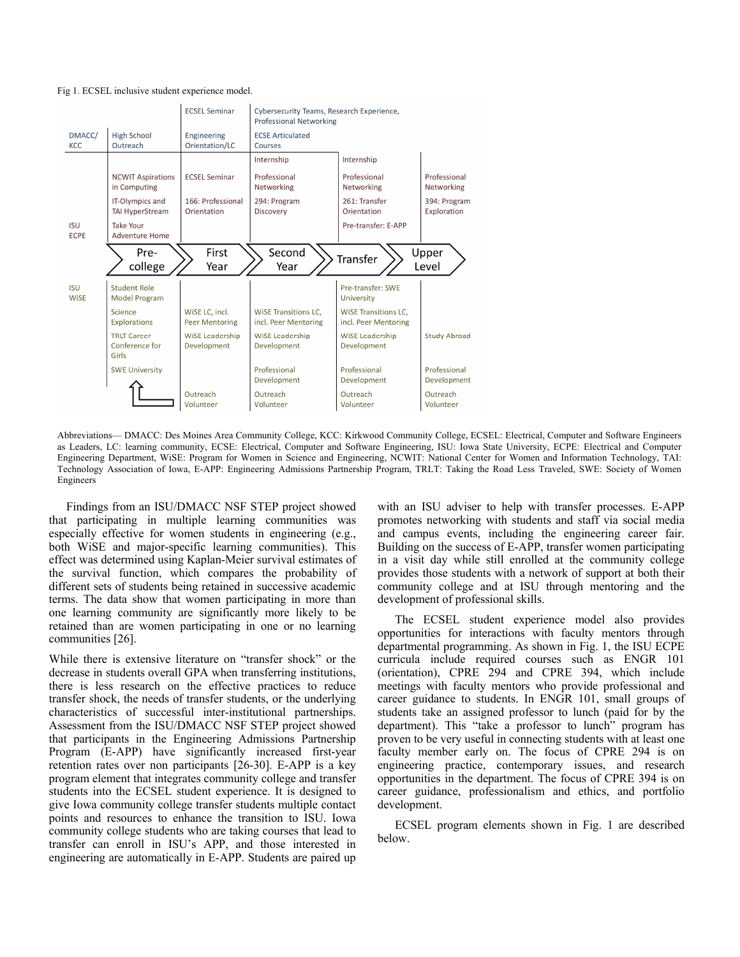



Abbreviations— DMACC: Des Moines Area Community College, KCC: Kirkwood Community College, ECSEL: Electrical, Computer and Software Engineers as Leaders, LC: learning community, ECSE: Electrical, Computer and Software Engineering, ISU: Iowa State University, ECPE: Electrical and Computer Engineering Department, WiSE: Program for Women in Science and Engineering, NCWIT: National Center for Women and Information Technology, TAI: Technology Association of Iowa, E-APP: Engineering Admissions Partnership Program, TRLT: Taking the Road Less Traveled, SWE: Society of Women Engineers

Findings from an ISU/DMACC NSF STEP project showed that participating in multiple learning communities was especially effective for women students in engineering (e.g., both WiSE and major-specific learning communities). This effect was determined using Kaplan-Meier survival estimates of the survival function, which compares the probability of different sets of students being retained in successive academic terms. The data show that women participating in more than one learning community are significantly more likely to be retained than are women participating in one or no learning communities [26].

While there is extensive literature on "transfer shock" or the decrease in students overall GPA when transferring institutions, there is less research on the effective practices to reduce transfer shock, the needs of transfer students, or the underlying characteristics of successful inter-institutional partnerships. Assessment from the ISU/DMACC NSF STEP project showed that participants in the Engineering Admissions Partnership Program (E-APP) have significantly increased first-year retention rates over non participants [26-30]. E-APP is a key program element that integrates community college and transfer students into the ECSEL student experience. It is designed to give Iowa community college transfer students multiple contact points and resources to enhance the transition to ISU. Iowa community college students who are taking courses that lead to transfer can enroll in ISU's APP, and those interested in engineering are automatically in E-APP. Students are paired up

with an ISU adviser to help with transfer processes. E-APP promotes networking with students and staff via social media and campus events, including the engineering career fair. Building on the success of E-APP, transfer women participating in a visit day while still enrolled at the community college provides those students with a network of support at both their community college and at ISU through mentoring and the development of professional skills.

The ECSEL student experience model also provides opportunities for interactions with faculty mentors through departmental programming. As shown in Fig. 1, the ISU ECPE curricula include required courses such as ENGR 101 (orientation), CPRE 294 and CPRE 394, which include meetings with faculty mentors who provide professional and career guidance to students. In ENGR 101, small groups of students take an assigned professor to lunch (paid for by the department). This "take a professor to lunch" program has proven to be very useful in connecting students with at least one faculty member early on. The focus of CPRE 294 is on engineering practice, contemporary issues, and research opportunities in the department. The focus of CPRE 394 is on career guidance, professionalism and ethics, and portfolio development.

ECSEL program elements shown in Fig. 1 are described below.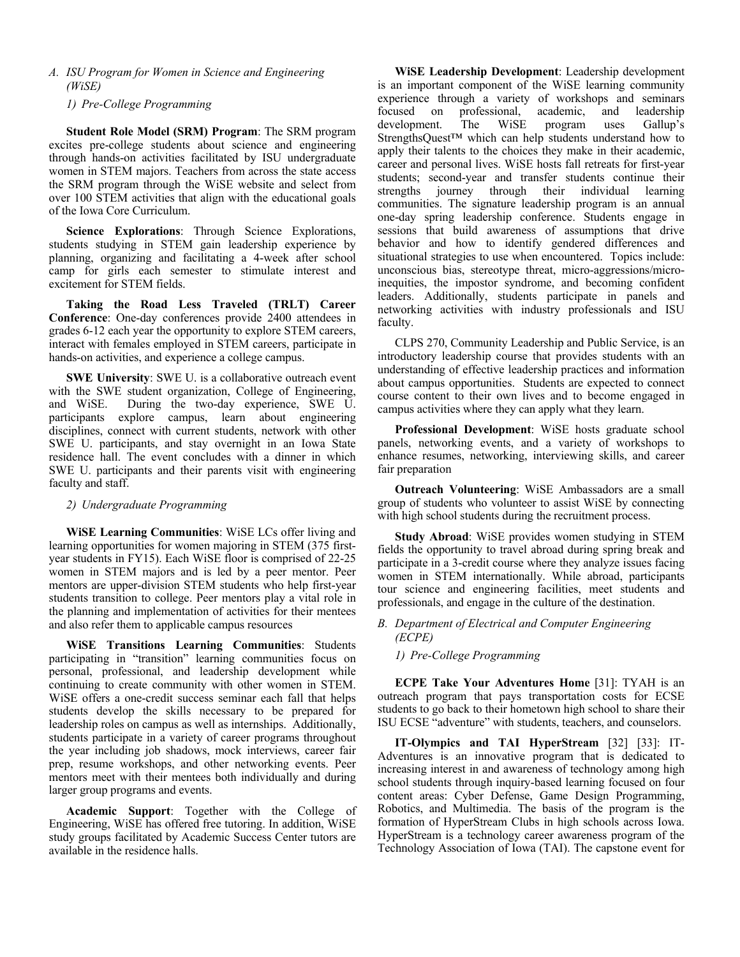*A. ISU Program for Women in Science and Engineering (WiSE)*

*1) Pre-College Programming* 

**Student Role Model (SRM) Program**: The SRM program excites pre-college students about science and engineering through hands-on activities facilitated by ISU undergraduate women in STEM majors. Teachers from across the state access the SRM program through the WiSE website and select from over 100 STEM activities that align with the educational goals of the Iowa Core Curriculum.

**Science Explorations**: Through Science Explorations, students studying in STEM gain leadership experience by planning, organizing and facilitating a 4-week after school camp for girls each semester to stimulate interest and excitement for STEM fields.

**Taking the Road Less Traveled (TRLT) Career Conference**: One-day conferences provide 2400 attendees in grades 6-12 each year the opportunity to explore STEM careers, interact with females employed in STEM careers, participate in hands-on activities, and experience a college campus.

**SWE University**: SWE U. is a collaborative outreach event with the SWE student organization, College of Engineering, and WiSE. During the two-day experience, SWE U. participants explore campus, learn about engineering disciplines, connect with current students, network with other SWE U. participants, and stay overnight in an Iowa State residence hall. The event concludes with a dinner in which SWE U. participants and their parents visit with engineering faculty and staff.

## *2) Undergraduate Programming*

**WiSE Learning Communities**: WiSE LCs offer living and learning opportunities for women majoring in STEM (375 firstyear students in FY15). Each WiSE floor is comprised of 22-25 women in STEM majors and is led by a peer mentor. Peer mentors are upper-division STEM students who help first-year students transition to college. Peer mentors play a vital role in the planning and implementation of activities for their mentees and also refer them to applicable campus resources

**WiSE Transitions Learning Communities**: Students participating in "transition" learning communities focus on personal, professional, and leadership development while continuing to create community with other women in STEM. WiSE offers a one-credit success seminar each fall that helps students develop the skills necessary to be prepared for leadership roles on campus as well as internships. Additionally, students participate in a variety of career programs throughout the year including job shadows, mock interviews, career fair prep, resume workshops, and other networking events. Peer mentors meet with their mentees both individually and during larger group programs and events.

**Academic Support**: Together with the College of Engineering, WiSE has offered free tutoring. In addition, WiSE study groups facilitated by Academic Success Center tutors are available in the residence halls.

**WiSE Leadership Development**: Leadership development is an important component of the WiSE learning community experience through a variety of workshops and seminars focused on professional, academic, and leadership development. The WiSE program uses Gallup's StrengthsQuest<sup>™</sup> which can help students understand how to apply their talents to the choices they make in their academic, career and personal lives. WiSE hosts fall retreats for first-year students; second-year and transfer students continue their strengths journey through their individual learning communities. The signature leadership program is an annual one-day spring leadership conference. Students engage in sessions that build awareness of assumptions that drive behavior and how to identify gendered differences and situational strategies to use when encountered. Topics include: unconscious bias, stereotype threat, micro-aggressions/microinequities, the impostor syndrome, and becoming confident leaders. Additionally, students participate in panels and networking activities with industry professionals and ISU faculty.

CLPS 270, Community Leadership and Public Service, is an introductory leadership course that provides students with an understanding of effective leadership practices and information about campus opportunities. Students are expected to connect course content to their own lives and to become engaged in campus activities where they can apply what they learn.

**Professional Development**: WiSE hosts graduate school panels, networking events, and a variety of workshops to enhance resumes, networking, interviewing skills, and career fair preparation

**Outreach Volunteering**: WiSE Ambassadors are a small group of students who volunteer to assist WiSE by connecting with high school students during the recruitment process.

**Study Abroad**: WiSE provides women studying in STEM fields the opportunity to travel abroad during spring break and participate in a 3-credit course where they analyze issues facing women in STEM internationally. While abroad, participants tour science and engineering facilities, meet students and professionals, and engage in the culture of the destination.

## *B. Department of Electrical and Computer Engineering (ECPE)*

## *1) Pre-College Programming*

**ECPE Take Your Adventures Home** [31]: TYAH is an outreach program that pays transportation costs for ECSE students to go back to their hometown high school to share their ISU ECSE "adventure" with students, teachers, and counselors.

**IT-Olympics and TAI HyperStream** [32] [33]: IT-Adventures is an innovative program that is dedicated to increasing interest in and awareness of technology among high school students through inquiry-based learning focused on four content areas: Cyber Defense, Game Design Programming, Robotics, and Multimedia. The basis of the program is the formation of HyperStream Clubs in high schools across Iowa. HyperStream is a technology career awareness program of the Technology Association of Iowa (TAI). The capstone event for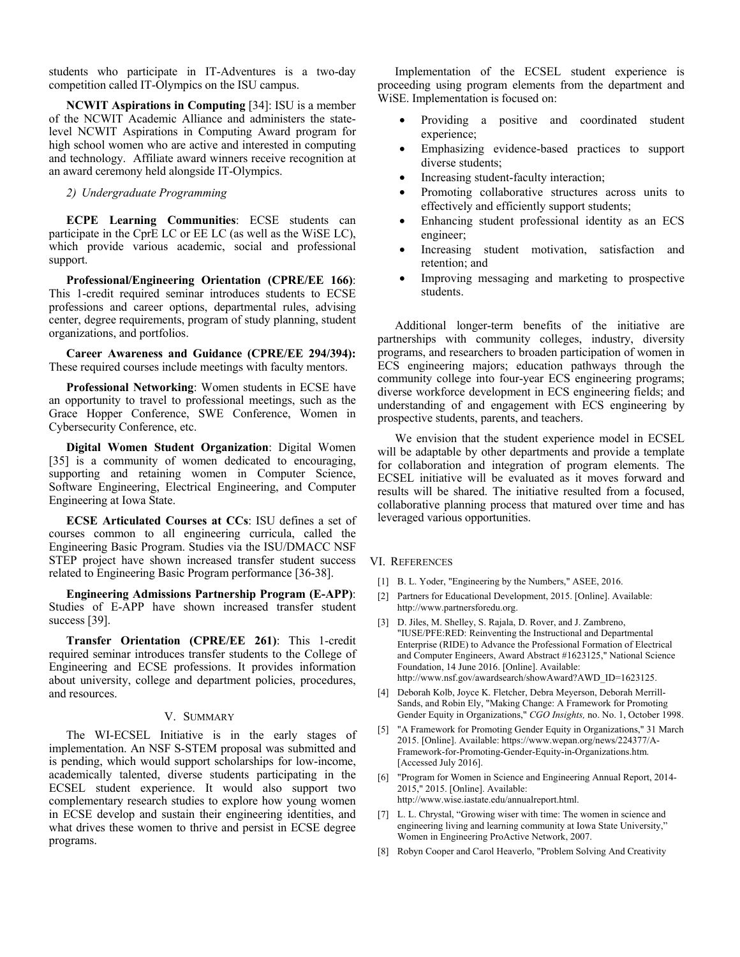students who participate in IT-Adventures is a two-day competition called IT-Olympics on the ISU campus.

**NCWIT Aspirations in Computing** [34]: ISU is a member of the NCWIT Academic Alliance and administers the statelevel NCWIT Aspirations in Computing Award program for high school women who are active and interested in computing and technology. Affiliate award winners receive recognition at an award ceremony held alongside IT-Olympics.

## *2) Undergraduate Programming*

**ECPE Learning Communities**: ECSE students can participate in the CprE LC or EE LC (as well as the WiSE LC), which provide various academic, social and professional support.

**Professional/Engineering Orientation (CPRE/EE 166)**: This 1-credit required seminar introduces students to ECSE professions and career options, departmental rules, advising center, degree requirements, program of study planning, student organizations, and portfolios.

**Career Awareness and Guidance (CPRE/EE 294/394):**  These required courses include meetings with faculty mentors.

**Professional Networking**: Women students in ECSE have an opportunity to travel to professional meetings, such as the Grace Hopper Conference, SWE Conference, Women in Cybersecurity Conference, etc.

**Digital Women Student Organization**: Digital Women [35] is a community of women dedicated to encouraging, supporting and retaining women in Computer Science, Software Engineering, Electrical Engineering, and Computer Engineering at Iowa State.

**ECSE Articulated Courses at CCs**: ISU defines a set of courses common to all engineering curricula, called the Engineering Basic Program. Studies via the ISU/DMACC NSF STEP project have shown increased transfer student success related to Engineering Basic Program performance [36-38].

**Engineering Admissions Partnership Program (E-APP)**: Studies of E-APP have shown increased transfer student success [39].

**Transfer Orientation (CPRE/EE 261)**: This 1-credit required seminar introduces transfer students to the College of Engineering and ECSE professions. It provides information about university, college and department policies, procedures, and resources.

#### V. SUMMARY

The WI-ECSEL Initiative is in the early stages of implementation. An NSF S-STEM proposal was submitted and is pending, which would support scholarships for low-income, academically talented, diverse students participating in the ECSEL student experience. It would also support two complementary research studies to explore how young women in ECSE develop and sustain their engineering identities, and what drives these women to thrive and persist in ECSE degree programs.

Implementation of the ECSEL student experience is proceeding using program elements from the department and WiSE. Implementation is focused on:

- Providing a positive and coordinated student experience;
- Emphasizing evidence-based practices to support diverse students;
- Increasing student-faculty interaction;
- Promoting collaborative structures across units to effectively and efficiently support students;
- Enhancing student professional identity as an ECS engineer;
- Increasing student motivation, satisfaction and retention; and
- Improving messaging and marketing to prospective students.

Additional longer-term benefits of the initiative are partnerships with community colleges, industry, diversity programs, and researchers to broaden participation of women in ECS engineering majors; education pathways through the community college into four-year ECS engineering programs; diverse workforce development in ECS engineering fields; and understanding of and engagement with ECS engineering by prospective students, parents, and teachers.

We envision that the student experience model in ECSEL will be adaptable by other departments and provide a template for collaboration and integration of program elements. The ECSEL initiative will be evaluated as it moves forward and results will be shared. The initiative resulted from a focused, collaborative planning process that matured over time and has leveraged various opportunities.

#### VI. REFERENCES

- [1] B. L. Yoder, "Engineering by the Numbers," ASEE, 2016.
- [2] Partners for Educational Development, 2015. [Online]. Available: http://www.partnersforedu.org.
- [3] D. Jiles, M. Shelley, S. Rajala, D. Rover, and J. Zambreno, "IUSE/PFE:RED: Reinventing the Instructional and Departmental Enterprise (RIDE) to Advance the Professional Formation of Electrical and Computer Engineers, Award Abstract #1623125," National Science Foundation, 14 June 2016. [Online]. Available: http://www.nsf.gov/awardsearch/showAward?AWD\_ID=1623125.
- [4] Deborah Kolb, Joyce K. Fletcher, Debra Meyerson, Deborah Merrill-Sands, and Robin Ely, "Making Change: A Framework for Promoting Gender Equity in Organizations," *CGO Insights,* no. No. 1, October 1998.
- [5] "A Framework for Promoting Gender Equity in Organizations," 31 March 2015. [Online]. Available: https://www.wepan.org/news/224377/A-Framework-for-Promoting-Gender-Equity-in-Organizations.htm. [Accessed July 2016].
- [6] "Program for Women in Science and Engineering Annual Report, 2014- 2015," 2015. [Online]. Available: http://www.wise.iastate.edu/annualreport.html.
- [7] L. L. Chrystal, "Growing wiser with time: The women in science and engineering living and learning community at Iowa State University," Women in Engineering ProActive Network, 2007.
- [8] Robyn Cooper and Carol Heaverlo, "Problem Solving And Creativity